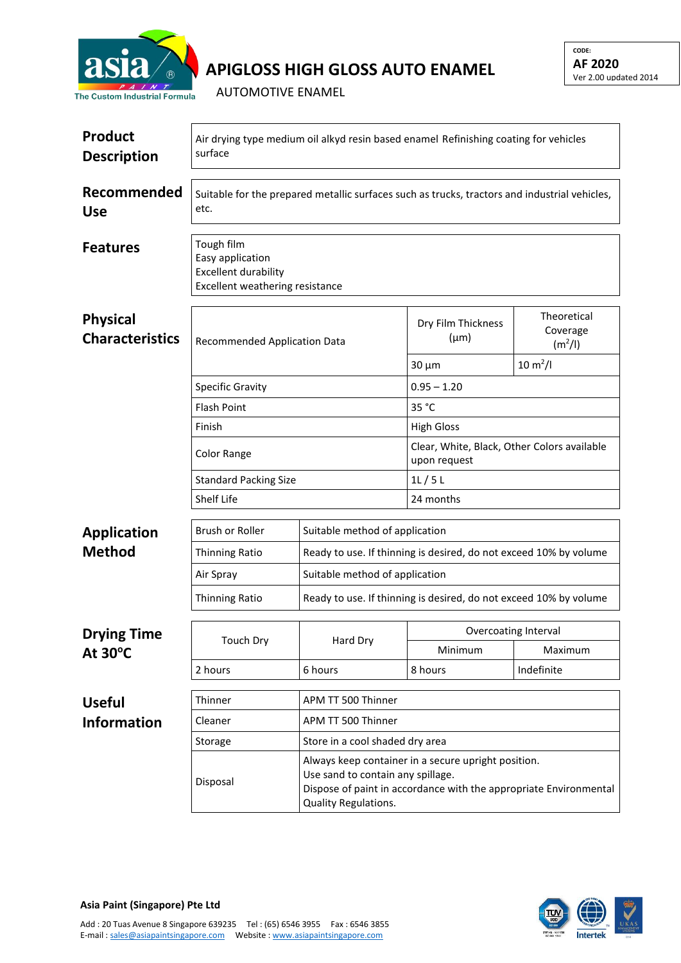

## **APIGLOSS HIGH GLOSS AUTO ENAMEL**

AUTOMOTIVE ENAMEL

| <b>Product</b><br><b>Description</b>      | Air drying type medium oil alkyd resin based enamel Refinishing coating for vehicles<br>surface       |                                                                                                                                                                                       |                                                                   |                                                |  |  |  |
|-------------------------------------------|-------------------------------------------------------------------------------------------------------|---------------------------------------------------------------------------------------------------------------------------------------------------------------------------------------|-------------------------------------------------------------------|------------------------------------------------|--|--|--|
| Recommended<br><b>Use</b>                 | Suitable for the prepared metallic surfaces such as trucks, tractors and industrial vehicles,<br>etc. |                                                                                                                                                                                       |                                                                   |                                                |  |  |  |
| <b>Features</b>                           | Tough film<br>Easy application<br><b>Excellent durability</b><br>Excellent weathering resistance      |                                                                                                                                                                                       |                                                                   |                                                |  |  |  |
| <b>Physical</b><br><b>Characteristics</b> | Recommended Application Data                                                                          |                                                                                                                                                                                       | Dry Film Thickness<br>$(\mu m)$                                   | Theoretical<br>Coverage<br>(m <sup>2</sup> /I) |  |  |  |
|                                           |                                                                                                       |                                                                                                                                                                                       | $30 \mu m$                                                        | $10 \, \text{m}^2$ /l                          |  |  |  |
|                                           | <b>Specific Gravity</b>                                                                               |                                                                                                                                                                                       | $0.95 - 1.20$                                                     |                                                |  |  |  |
|                                           | <b>Flash Point</b>                                                                                    |                                                                                                                                                                                       | 35 °C                                                             |                                                |  |  |  |
|                                           | Finish                                                                                                |                                                                                                                                                                                       | <b>High Gloss</b>                                                 |                                                |  |  |  |
|                                           | Color Range                                                                                           |                                                                                                                                                                                       | Clear, White, Black, Other Colors available<br>upon request       |                                                |  |  |  |
|                                           | <b>Standard Packing Size</b>                                                                          |                                                                                                                                                                                       | 1L/5L                                                             |                                                |  |  |  |
|                                           | Shelf Life                                                                                            |                                                                                                                                                                                       | 24 months                                                         |                                                |  |  |  |
| <b>Application</b>                        | Brush or Roller                                                                                       | Suitable method of application                                                                                                                                                        |                                                                   |                                                |  |  |  |
| <b>Method</b>                             | <b>Thinning Ratio</b>                                                                                 |                                                                                                                                                                                       | Ready to use. If thinning is desired, do not exceed 10% by volume |                                                |  |  |  |
|                                           | Air Spray                                                                                             | Suitable method of application                                                                                                                                                        |                                                                   |                                                |  |  |  |
|                                           | <b>Thinning Ratio</b>                                                                                 |                                                                                                                                                                                       | Ready to use. If thinning is desired, do not exceed 10% by volume |                                                |  |  |  |
|                                           |                                                                                                       | Hard Dry                                                                                                                                                                              | Overcoating Interval                                              |                                                |  |  |  |
| <b>Drying Time</b><br>At $30^{\circ}$ C   | <b>Touch Dry</b>                                                                                      |                                                                                                                                                                                       | Minimum                                                           | Maximum                                        |  |  |  |
|                                           | 2 hours                                                                                               | 6 hours                                                                                                                                                                               | 8 hours                                                           | Indefinite                                     |  |  |  |
| <b>Useful</b>                             | Thinner                                                                                               | APM TT 500 Thinner                                                                                                                                                                    |                                                                   |                                                |  |  |  |
| <b>Information</b>                        | Cleaner                                                                                               | APM TT 500 Thinner                                                                                                                                                                    |                                                                   |                                                |  |  |  |
|                                           | Storage                                                                                               | Store in a cool shaded dry area                                                                                                                                                       |                                                                   |                                                |  |  |  |
|                                           | Disposal                                                                                              | Always keep container in a secure upright position.<br>Use sand to contain any spillage.<br>Dispose of paint in accordance with the appropriate Environmental<br>Quality Regulations. |                                                                   |                                                |  |  |  |



E-mail [: sales@asiapaintsingapore.com](mailto:sales@asiapaintsingapore.com) Website [: www.asiapaintsingapore.com](http://www.asiapaintsingapore.com/)